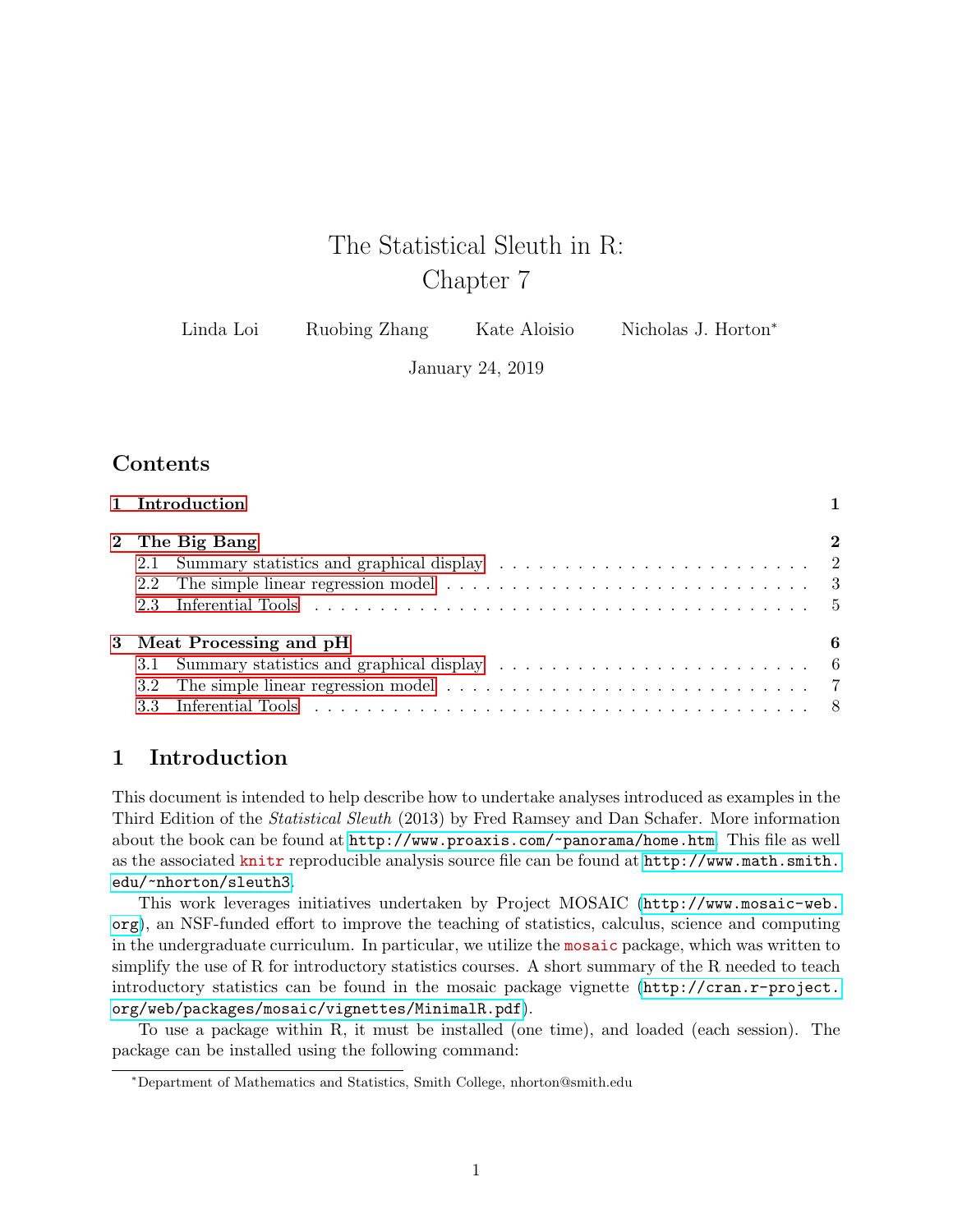# The Statistical Sleuth in R: Chapter 7

| Linda Loi | Ruobing Zhang | Kate Aloisio | Nicholas J. Horton <sup>*</sup> |
|-----------|---------------|--------------|---------------------------------|
|-----------|---------------|--------------|---------------------------------|

January 24, 2019

# **Contents**

| 1 Introduction           |          |
|--------------------------|----------|
| 2 The Big Bang           | $\bf{2}$ |
|                          |          |
|                          |          |
|                          |          |
| 3 Meat Processing and pH | 6        |
|                          |          |
|                          |          |
|                          |          |

## <span id="page-0-0"></span>1 Introduction

This document is intended to help describe how to undertake analyses introduced as examples in the Third Edition of the Statistical Sleuth (2013) by Fred Ramsey and Dan Schafer. More information about the book can be found at <http://www.proaxis.com/~panorama/home.htm>. This file as well as the associated knitr reproducible analysis source file can be found at [http://www.math.smith.](http://www.math.smith.edu/~nhorton/sleuth3) [edu/~nhorton/sleuth3](http://www.math.smith.edu/~nhorton/sleuth3).

This work leverages initiatives undertaken by Project MOSAIC ([http://www.mosaic-web.](http://www.mosaic-web.org) [org](http://www.mosaic-web.org)), an NSF-funded effort to improve the teaching of statistics, calculus, science and computing in the undergraduate curriculum. In particular, we utilize the mosaic package, which was written to simplify the use of R for introductory statistics courses. A short summary of the R needed to teach introductory statistics can be found in the mosaic package vignette ([http://cran.r-project.](http://cran.r-project.org/web/packages/mosaic/vignettes/MinimalR.pdf) [org/web/packages/mosaic/vignettes/MinimalR.pdf](http://cran.r-project.org/web/packages/mosaic/vignettes/MinimalR.pdf)).

To use a package within R, it must be installed (one time), and loaded (each session). The package can be installed using the following command:

<sup>∗</sup>Department of Mathematics and Statistics, Smith College, nhorton@smith.edu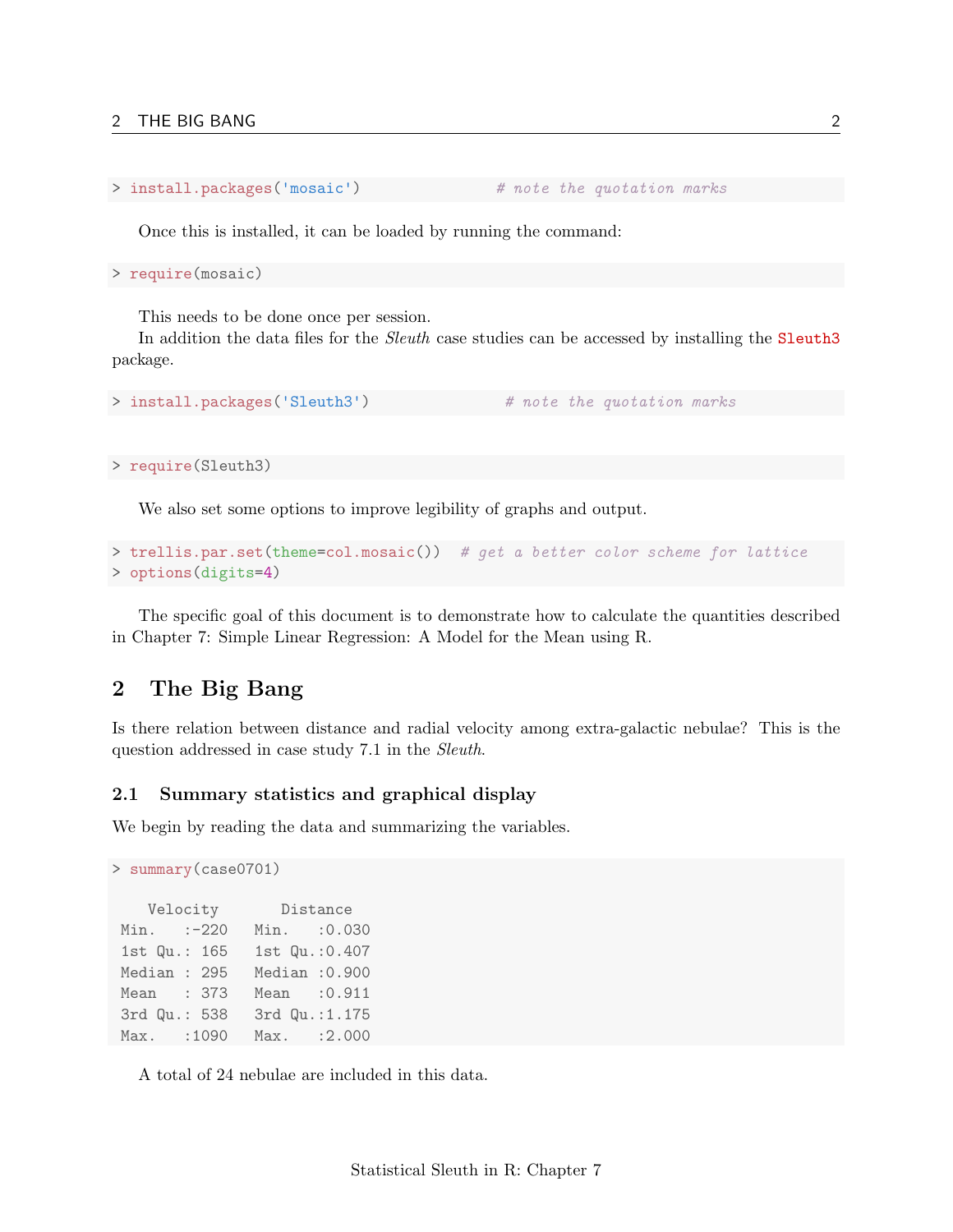```
> install.packages('mosaic') # note the quotation marks
```
Once this is installed, it can be loaded by running the command:

```
> require(mosaic)
```
This needs to be done once per session.

In addition the data files for the *Sleuth* case studies can be accessed by installing the **Sleuth3** package.

```
> install.packages('Sleuth3') # note the quotation marks
```
> require(Sleuth3)

We also set some options to improve legibility of graphs and output.

```
> trellis.par.set(theme=col.mosaic()) # get a better color scheme for lattice
> options(digits=4)
```
The specific goal of this document is to demonstrate how to calculate the quantities described in Chapter 7: Simple Linear Regression: A Model for the Mean using R.

### <span id="page-1-0"></span>2 The Big Bang

Is there relation between distance and radial velocity among extra-galactic nebulae? This is the question addressed in case study 7.1 in the Sleuth.

#### <span id="page-1-1"></span>2.1 Summary statistics and graphical display

We begin by reading the data and summarizing the variables.

```
> summary(case0701)
   Velocity Distance
Min. :-220 Min. :0.030
1st Qu.: 165 1st Qu.:0.407
Median : 295 Median :0.900
Mean : 373 Mean :0.911
3rd Qu.: 538 3rd Qu.:1.175
Max. :1090 Max. :2.000
```
A total of 24 nebulae are included in this data.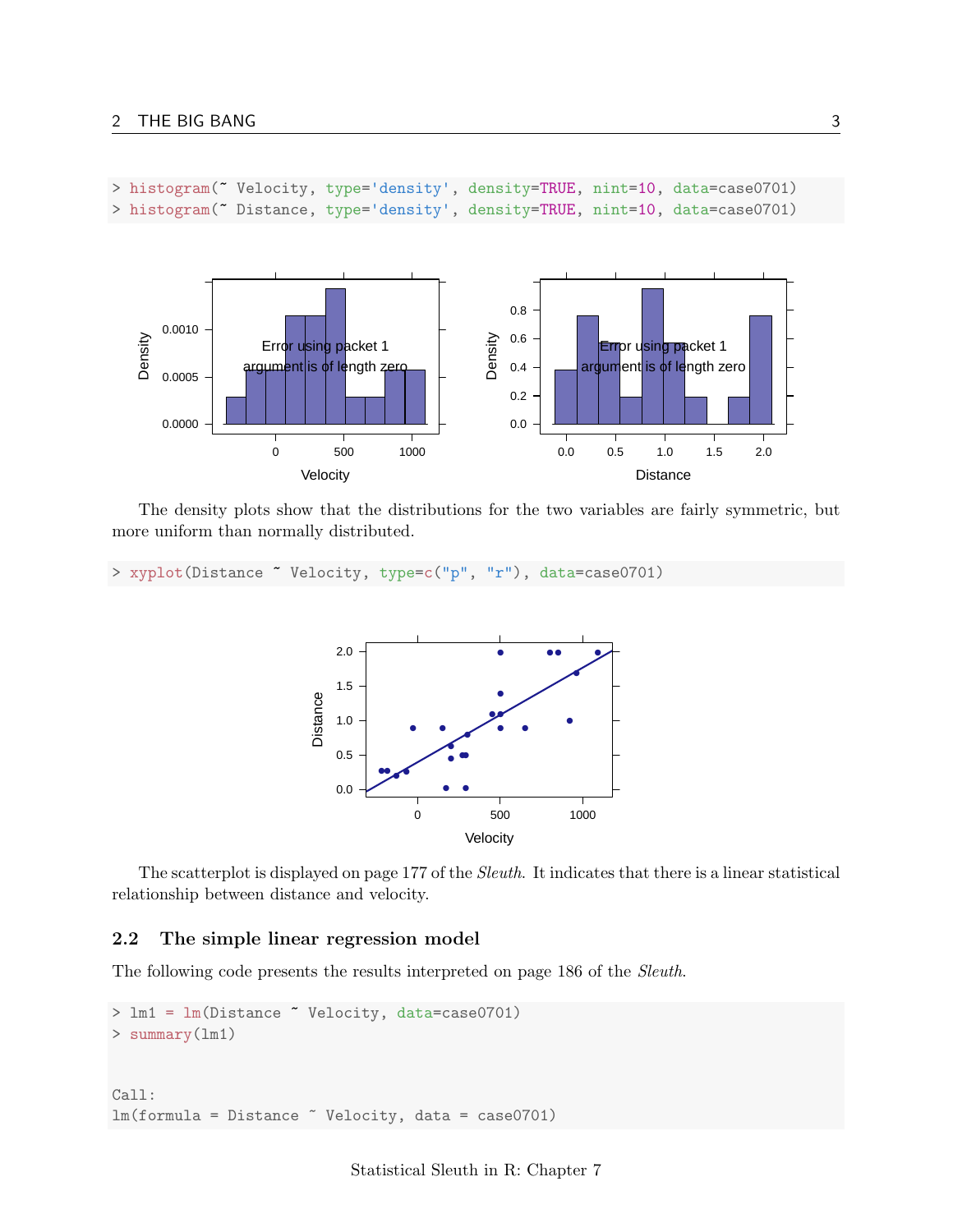```
> histogram("Velocity, type='density', density=TRUE, nint=10, data=case0701)
> histogram(~ Distance, type='density', density=TRUE, nint=10, data=case0701)
```


The density plots show that the distributions for the two variables are fairly symmetric, but more uniform than normally distributed.

> xyplot(Distance ~ Velocity, type=c("p", "r"), data=case0701)



The scatterplot is displayed on page 177 of the Sleuth. It indicates that there is a linear statistical relationship between distance and velocity.

#### <span id="page-2-0"></span>2.2 The simple linear regression model

The following code presents the results interpreted on page 186 of the Sleuth.

```
> lm1 = lm(Distance ~ Velocity, data=case0701)
> summary(lm1)
Call:
lm(formula = Distance ~ Velocity, data = case0701)
```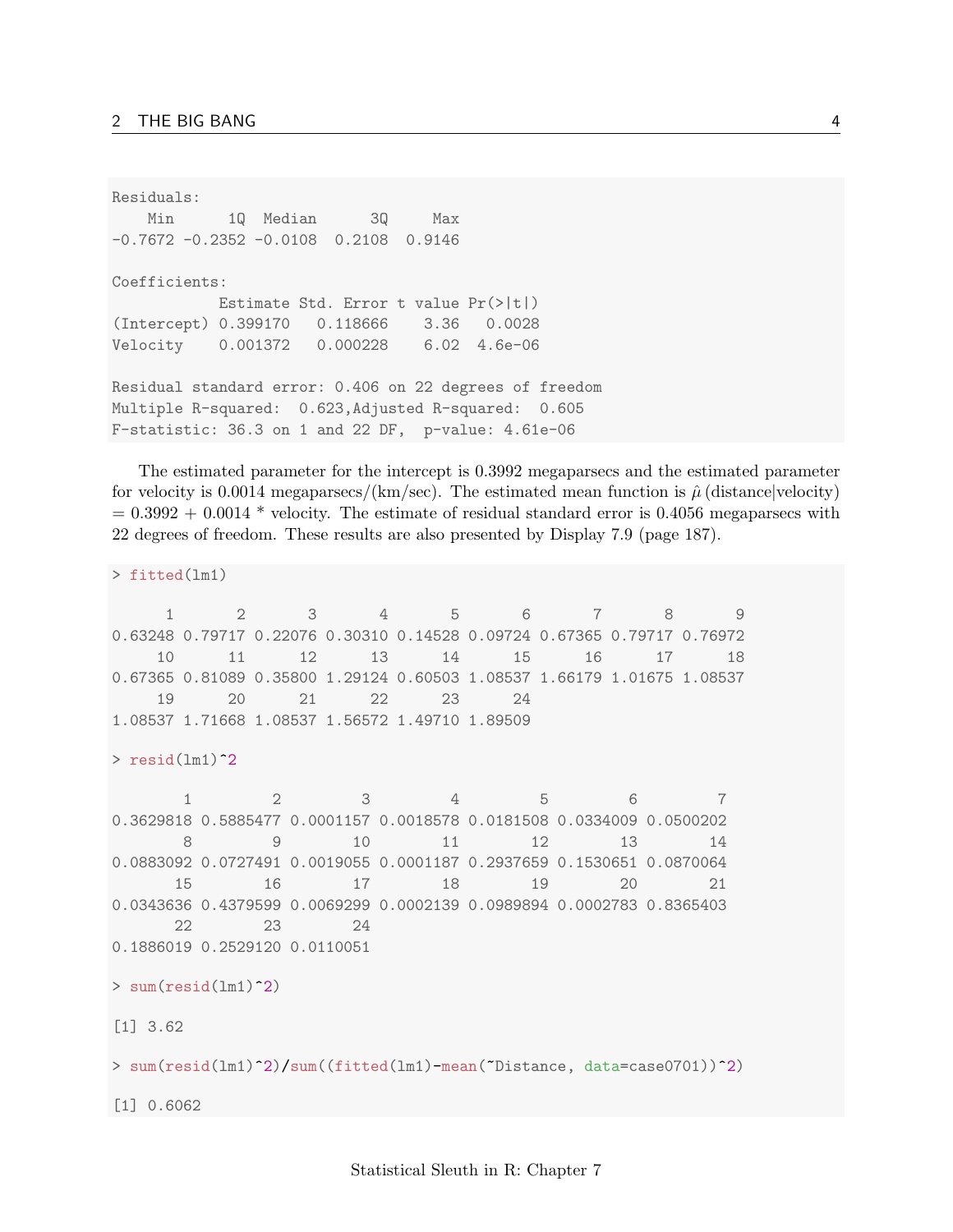Residuals: Min 1Q Median 3Q Max -0.7672 -0.2352 -0.0108 0.2108 0.9146 Coefficients: Estimate Std. Error t value Pr(>|t|) (Intercept) 0.399170 0.118666 3.36 0.0028 Velocity 0.001372 0.000228 6.02 4.6e-06 Residual standard error: 0.406 on 22 degrees of freedom Multiple R-squared: 0.623,Adjusted R-squared: 0.605 F-statistic: 36.3 on 1 and 22 DF, p-value: 4.61e-06

The estimated parameter for the intercept is 0.3992 megaparsecs and the estimated parameter for velocity is 0.0014 megaparsecs/(km/sec). The estimated mean function is  $\hat{\mu}$  (distance|velocity)  $= 0.3992 + 0.0014$  \* velocity. The estimate of residual standard error is 0.4056 megaparsecs with 22 degrees of freedom. These results are also presented by Display 7.9 (page 187).

```
> fitted(lm1)
    1 2 3 4 5 6 7 8 9
0.63248 0.79717 0.22076 0.30310 0.14528 0.09724 0.67365 0.79717 0.76972
   10 11 12 13 14 15 16 17 18
0.67365 0.81089 0.35800 1.29124 0.60503 1.08537 1.66179 1.01675 1.08537
   19 20 21 22 23 24
1.08537 1.71668 1.08537 1.56572 1.49710 1.89509
> resid(lm1)^2
      1 2 3 4 5 6 7
0.3629818 0.5885477 0.0001157 0.0018578 0.0181508 0.0334009 0.0500202
      8 9 10 11 12 13 14
0.0883092 0.0727491 0.0019055 0.0001187 0.2937659 0.1530651 0.0870064
     15 16 17 18 19 20 21
0.0343636 0.4379599 0.0069299 0.0002139 0.0989894 0.0002783 0.8365403
     22 23 24
0.1886019 0.2529120 0.0110051
> sum(resid(lm1)<sup>-2</sup>)
[1] 3.62
> sum(resid(lm1)^2)/sum((fitted(lm1)-mean(~Distance, data=case0701))^2)
[1] 0.6062
```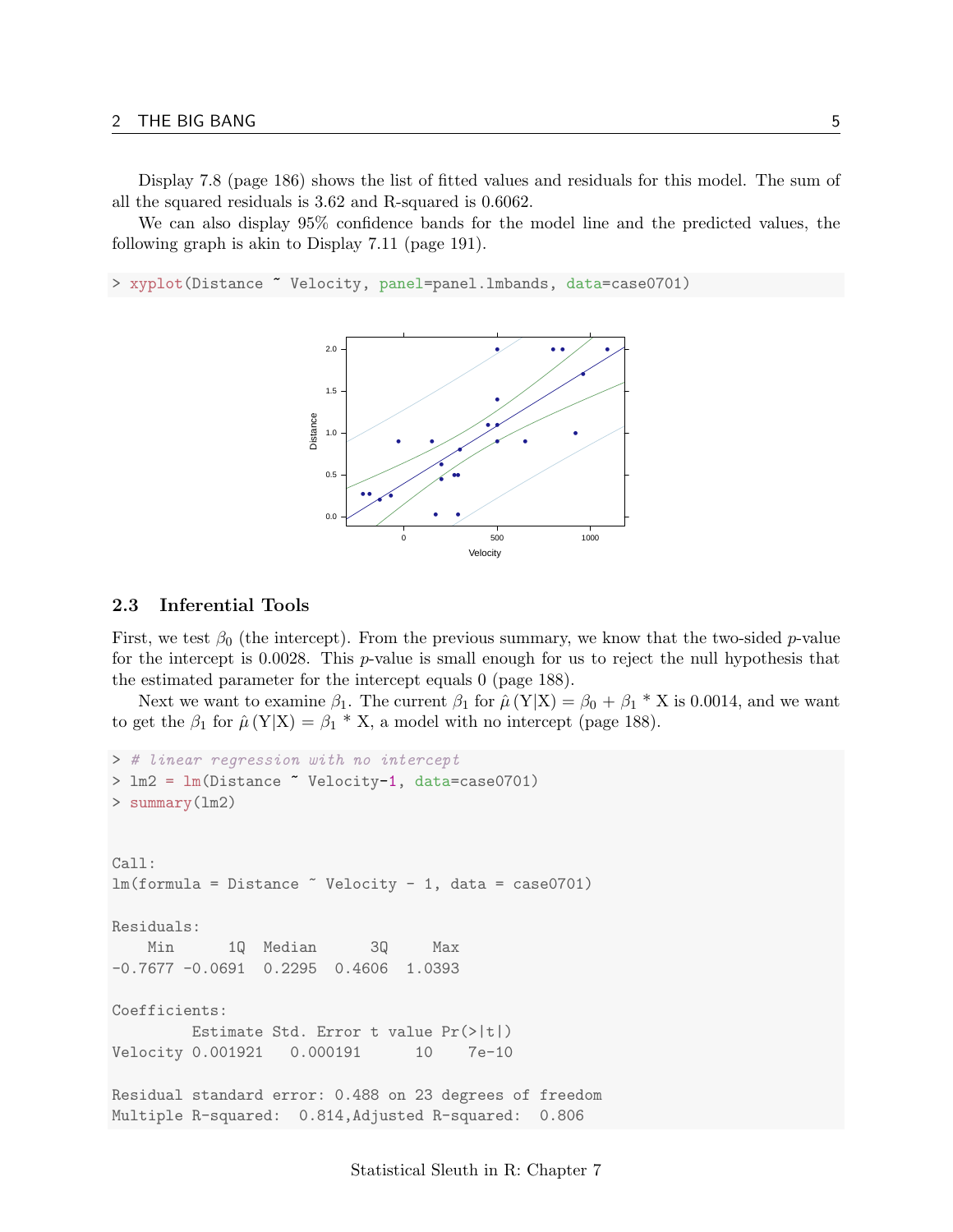Display 7.8 (page 186) shows the list of fitted values and residuals for this model. The sum of all the squared residuals is 3.62 and R-squared is 0.6062.

We can also display 95% confidence bands for the model line and the predicted values, the following graph is akin to Display 7.11 (page 191).

> xyplot(Distance ~ Velocity, panel=panel.lmbands, data=case0701)



#### <span id="page-4-0"></span>2.3 Inferential Tools

First, we test  $\beta_0$  (the intercept). From the previous summary, we know that the two-sided p-value for the intercept is  $0.0028$ . This p-value is small enough for us to reject the null hypothesis that the estimated parameter for the intercept equals 0 (page 188).

Next we want to examine  $\beta_1$ . The current  $\beta_1$  for  $\hat{\mu}(Y|X) = \beta_0 + \beta_1 * X$  is 0.0014, and we want to get the  $\beta_1$  for  $\hat{\mu}(Y|X) = \beta_1 * X$ , a model with no intercept (page 188).

```
> # linear regression with no intercept
> lm2 = lm(Distance ~ Velocity-1, data=case0701)
> summary(lm2)
Call:
lm(formula = Distance " Velocity - 1, data = case0701)Residuals:
   Min 1Q Median 3Q Max
-0.7677 -0.0691 0.2295 0.4606 1.0393
Coefficients:
        Estimate Std. Error t value Pr(>|t|)
Velocity 0.001921 0.000191 10 7e-10
Residual standard error: 0.488 on 23 degrees of freedom
Multiple R-squared: 0.814,Adjusted R-squared: 0.806
```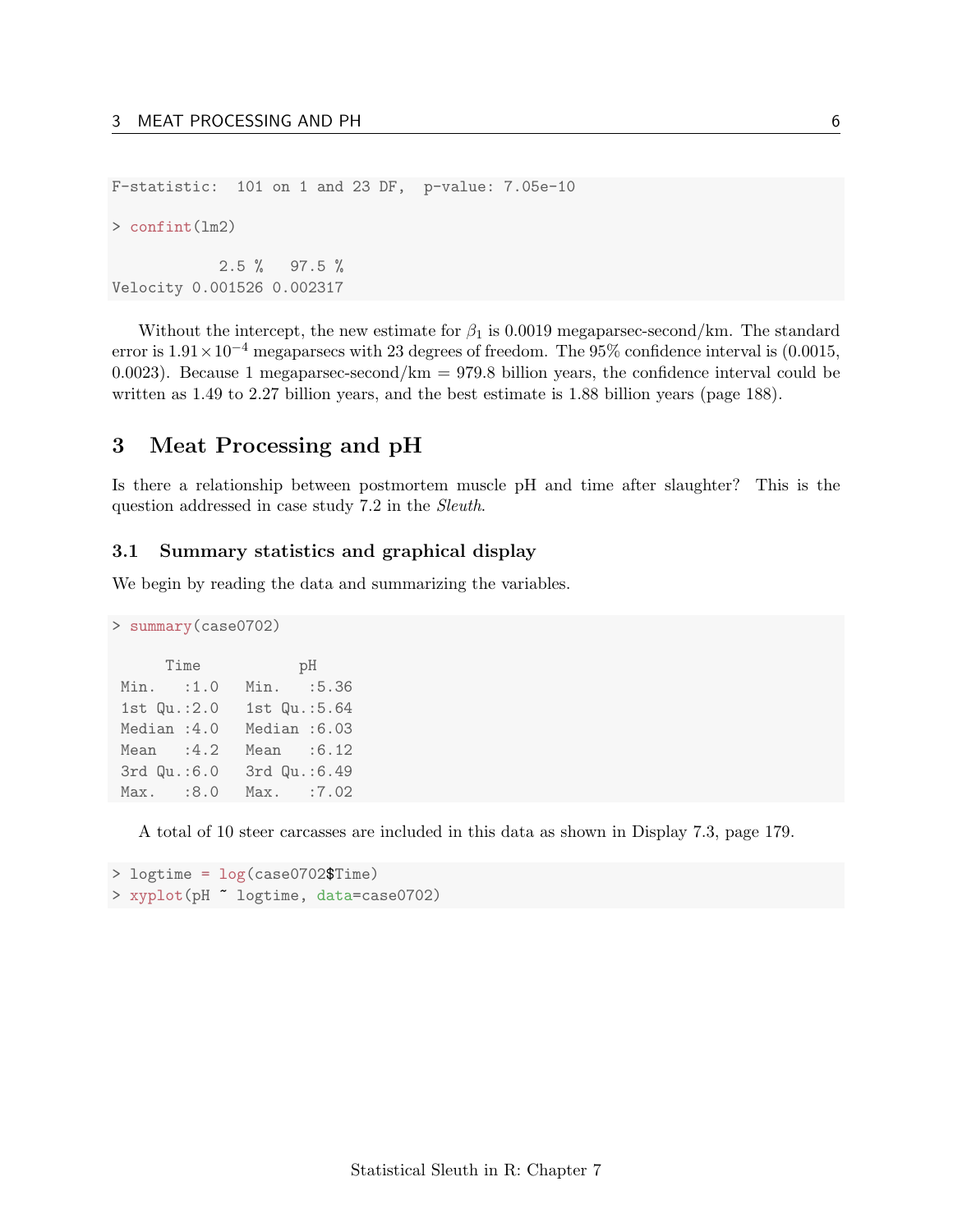F-statistic: 101 on 1 and 23 DF, p-value: 7.05e-10

> confint(lm2)

2.5 % 97.5 % Velocity 0.001526 0.002317

Without the intercept, the new estimate for  $\beta_1$  is 0.0019 megaparsec-second/km. The standard error is  $1.91 \times 10^{-4}$  megaparsecs with 23 degrees of freedom. The 95% confidence interval is (0.0015, 0.0023). Because 1 megaparsec-second/ $km = 979.8$  billion years, the confidence interval could be written as 1.49 to 2.27 billion years, and the best estimate is 1.88 billion years (page 188).

### <span id="page-5-0"></span>3 Meat Processing and pH

Is there a relationship between postmortem muscle pH and time after slaughter? This is the question addressed in case study 7.2 in the Sleuth.

#### <span id="page-5-1"></span>3.1 Summary statistics and graphical display

We begin by reading the data and summarizing the variables.

```
> summary(case0702)
     Time pH
Min. :1.0 Min. :5.36
1st Qu.:2.0 1st Qu.:5.64
Median :4.0 Median :6.03
Mean :4.2 Mean :6.12
3rd Qu.:6.0 3rd Qu.:6.49
Max. :8.0 Max. :7.02
```
A total of 10 steer carcasses are included in this data as shown in Display 7.3, page 179.

```
> logtime = log(case0702$Time)
> xyplot(pH ~ logtime, data=case0702)
```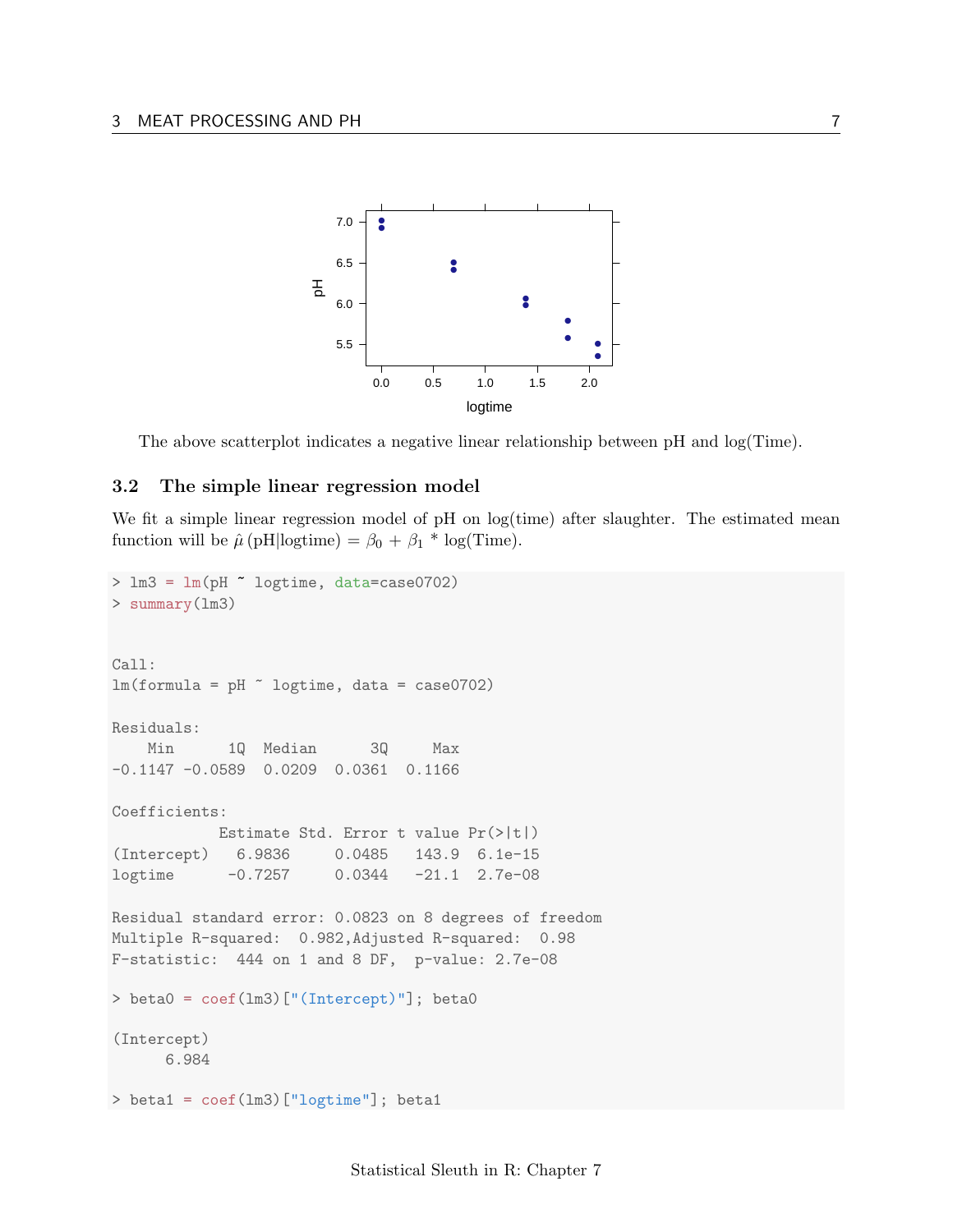

The above scatterplot indicates a negative linear relationship between pH and log(Time).

### <span id="page-6-0"></span>3.2 The simple linear regression model

We fit a simple linear regression model of pH on log(time) after slaughter. The estimated mean function will be  $\hat{\mu}$  (pH|logtime) =  $\beta_0 + \beta_1 * \log(\text{Time})$ .

```
> lm3 = lm(pH ~ logtime, data=case0702)
> summary(lm3)
Call:
lm(formula = pH "logtime, data = case0702)Residuals:
   Min 1Q Median 3Q Max
-0.1147 -0.0589 0.0209 0.0361 0.1166
Coefficients:
           Estimate Std. Error t value Pr(>|t|)
(Intercept) 6.9836 0.0485 143.9 6.1e-15
logtime -0.7257 0.0344 -21.1 2.7e-08
Residual standard error: 0.0823 on 8 degrees of freedom
Multiple R-squared: 0.982,Adjusted R-squared: 0.98
F-statistic: 444 on 1 and 8 DF, p-value: 2.7e-08
> beta0 = coef(lm3)["(Intercept)"]; beta0
(Intercept)
     6.984
> beta1 = coef(lm3)["logtime"]; beta1
```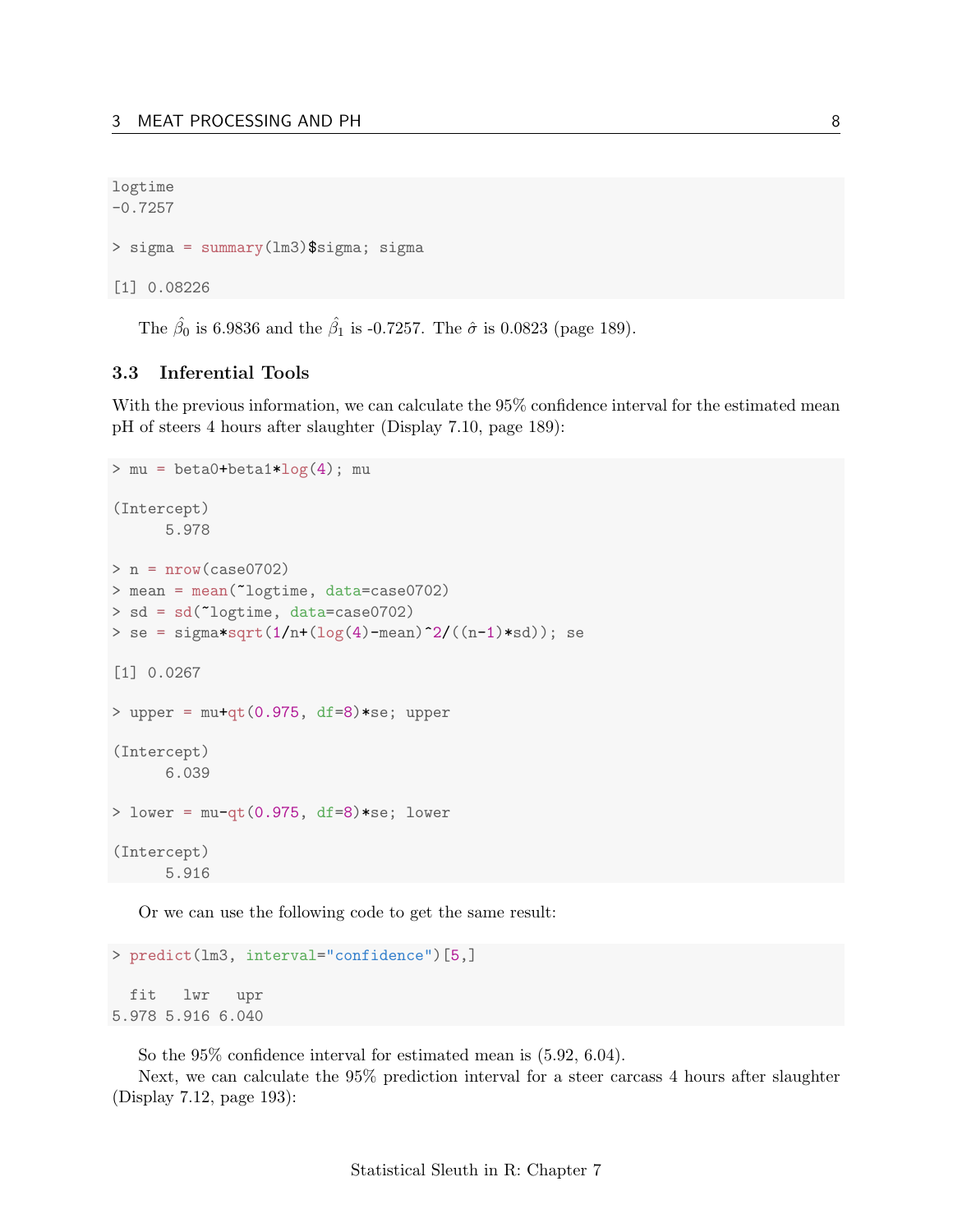```
logtime
-0.7257
> sigma = summary(lm3)$sigma; sigma
[1] 0.08226
```
The  $\hat{\beta}_0$  is 6.9836 and the  $\hat{\beta}_1$  is -0.7257. The  $\hat{\sigma}$  is 0.0823 (page 189).

### <span id="page-7-0"></span>3.3 Inferential Tools

With the previous information, we can calculate the 95% confidence interval for the estimated mean pH of steers 4 hours after slaughter (Display 7.10, page 189):

```
> mu = beta0+beta1*log(4); mu
(Intercept)
      5.978
> n = nrow(case0702)> mean = mean(~logtime, data=case0702)
> sd = sd(~logtime, data=case0702)
> se = sigma*sqrt(1/n + (\log(4) - \text{mean})^2 / ((n-1)*sd)); se
[1] 0.0267
> upper = mu+qt(0.975, df=8)*se; upper
(Intercept)
      6.039
> lower = mu - qt(0.975, df=8)*se; lower(Intercept)
      5.916
```
Or we can use the following code to get the same result:

```
> predict(lm3, interval="confidence")[5,]
```

```
fit lwr upr
5.978 5.916 6.040
```
So the 95% confidence interval for estimated mean is (5.92, 6.04).

Next, we can calculate the 95% prediction interval for a steer carcass 4 hours after slaughter (Display 7.12, page 193):